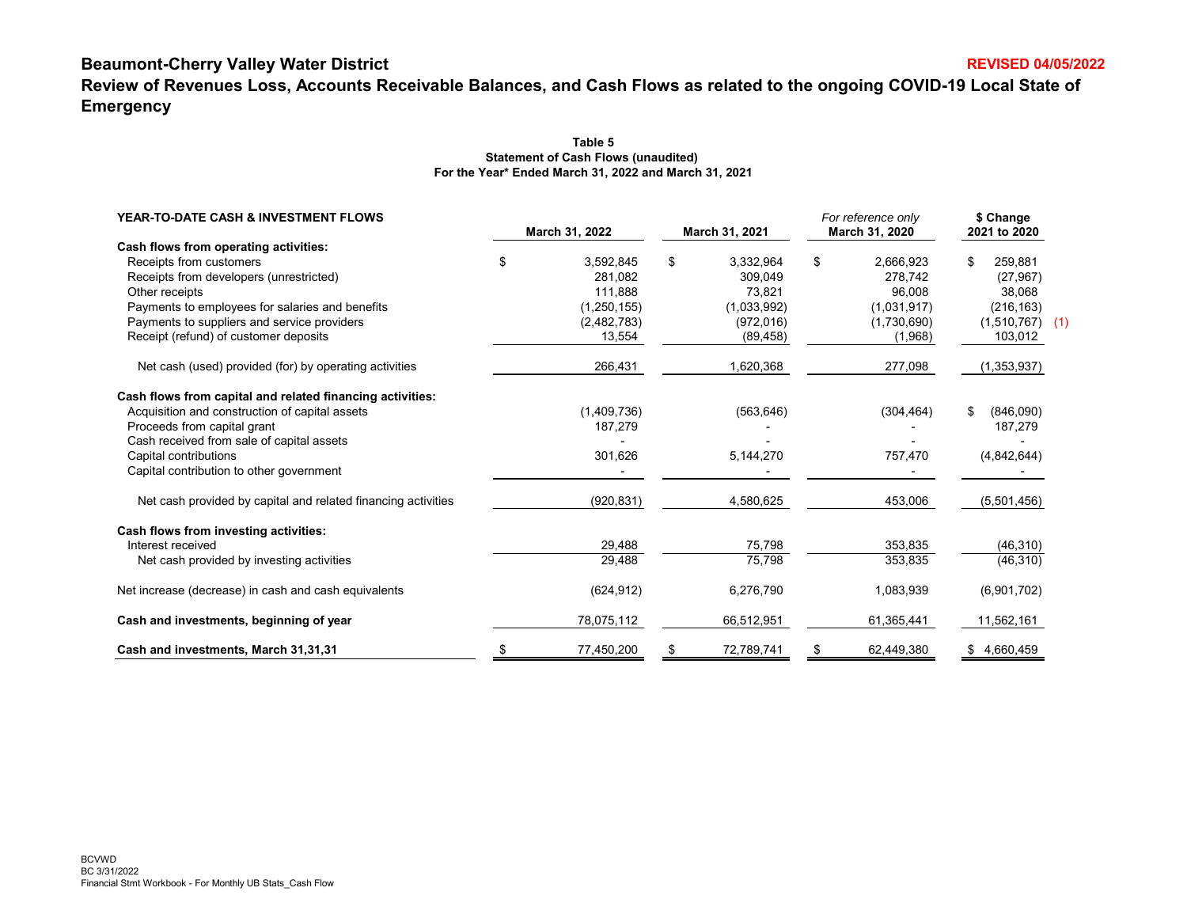# **Beaumont-Cherry Valley Water District**

**Review of Revenues Loss, Accounts Receivable Balances, and Cash Flows as related to the ongoing COVID-19 Local State of Emergency**

| YEAR-TO-DATE CASH & INVESTMENT FLOWS                                                           | March 31, 2022 |                              | March 31, 2021 |                           | For reference only<br>March 31, 2020 |                            | \$ Change<br>2021 to 2020       |  |
|------------------------------------------------------------------------------------------------|----------------|------------------------------|----------------|---------------------------|--------------------------------------|----------------------------|---------------------------------|--|
| Cash flows from operating activities:<br>Receipts from customers                               | \$             | 3,592,845                    | \$             | 3,332,964                 | \$                                   | 2,666,923                  | \$<br>259.881                   |  |
| Receipts from developers (unrestricted)<br>Other receipts                                      |                | 281.082<br>111.888           |                | 309.049<br>73.821         |                                      | 278.742<br>96.008          | (27, 967)<br>38.068             |  |
| Payments to employees for salaries and benefits<br>Payments to suppliers and service providers |                | (1, 250, 155)<br>(2,482,783) |                | (1,033,992)<br>(972, 016) |                                      | (1,031,917)<br>(1,730,690) | (216, 163)<br>$(1,510,767)$ (1) |  |
| Receipt (refund) of customer deposits                                                          |                | 13,554                       |                | (89, 458)                 |                                      | (1,968)                    | 103,012                         |  |
| Net cash (used) provided (for) by operating activities                                         |                | 266,431                      |                | 1,620,368                 |                                      | 277,098                    | (1,353,937)                     |  |
| Cash flows from capital and related financing activities:                                      |                |                              |                |                           |                                      |                            |                                 |  |
| Acquisition and construction of capital assets<br>Proceeds from capital grant                  |                | (1,409,736)<br>187,279       |                | (563, 646)                |                                      | (304, 464)                 | (846,090)<br>\$<br>187,279      |  |
| Cash received from sale of capital assets<br>Capital contributions                             |                | 301,626                      |                | 5,144,270                 |                                      | 757,470                    | (4,842,644)                     |  |
| Capital contribution to other government                                                       |                |                              |                |                           |                                      |                            |                                 |  |
| Net cash provided by capital and related financing activities                                  |                | (920, 831)                   |                | 4,580,625                 |                                      | 453,006                    | (5,501,456)                     |  |
| Cash flows from investing activities:<br>Interest received                                     |                | 29,488                       |                | 75,798                    |                                      | 353,835                    | (46, 310)                       |  |
| Net cash provided by investing activities                                                      |                | 29,488                       |                | 75,798                    |                                      | 353,835                    | (46, 310)                       |  |
| Net increase (decrease) in cash and cash equivalents                                           |                | (624, 912)                   |                | 6,276,790                 |                                      | 1,083,939                  | (6,901,702)                     |  |
| Cash and investments, beginning of year                                                        |                | 78,075,112                   |                | 66,512,951                |                                      | 61,365,441                 | 11,562,161                      |  |
| Cash and investments, March 31,31,31                                                           |                | 77,450,200                   |                | 72,789,741                |                                      | 62,449,380                 | 4,660,459<br>S.                 |  |

### **Table 5Statement of Cash Flows (unaudited) For the Year\* Ended March 31, 2022 and March 31, 2021**